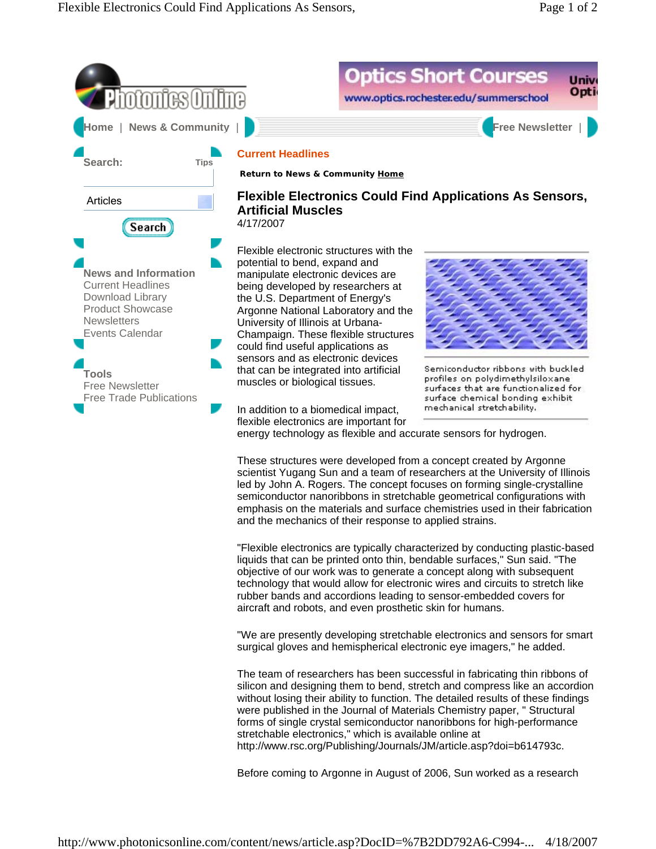



led by John A. Rogers. The concept focuses on forming single-crystalline semiconductor nanoribbons in stretchable geometrical configurations with emphasis on the materials and surface chemistries used in their fabrication and the mechanics of their response to applied strains.

"Flexible electronics are typically characterized by conducting plastic-based liquids that can be printed onto thin, bendable surfaces," Sun said. "The objective of our work was to generate a concept along with subsequent technology that would allow for electronic wires and circuits to stretch like rubber bands and accordions leading to sensor-embedded covers for aircraft and robots, and even prosthetic skin for humans.

"We are presently developing stretchable electronics and sensors for smart surgical gloves and hemispherical electronic eye imagers," he added.

The team of researchers has been successful in fabricating thin ribbons of silicon and designing them to bend, stretch and compress like an accordion without losing their ability to function. The detailed results of these findings were published in the Journal of Materials Chemistry paper, " Structural forms of single crystal semiconductor nanoribbons for high-performance stretchable electronics," which is available online at http://www.rsc.org/Publishing/Journals/JM/article.asp?doi=b614793c.

Before coming to Argonne in August of 2006, Sun worked as a research